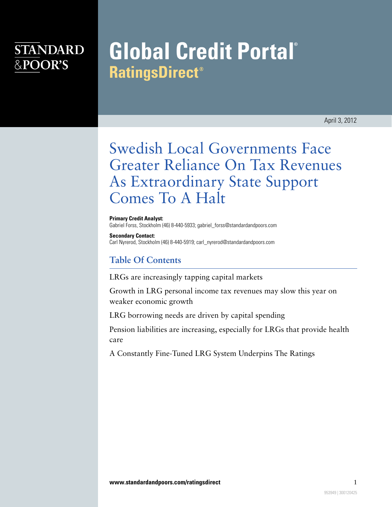# **STANDARD** &POOR'S

# **Global Credit Portal® RatingsDirect®**

April 3, 2012

# Swedish Local Governments Face Greater Reliance On Tax Revenues As Extraordinary State Support Comes To A Halt

**Primary Credit Analyst:** Gabriel Forss, Stockholm (46) 8-440-5933; gabriel\_forss@standardandpoors.com

**Secondary Contact:** Carl Nyrerod, Stockholm (46) 8-440-5919; carl\_nyrerod@standardandpoors.com

## **Table Of Contents**

[LRGs are increasingly tapping capital markets](#page-1-0)

[Growth in LRG personal income tax revenues may slow this year on](#page-3-0) [weaker economic growth](#page-3-0)

[LRG borrowing needs are driven by capital spending](#page-3-1)

[Pension liabilities are increasing, especially for LRGs that provide health](#page-4-0) [care](#page-4-0)

[A Constantly Fine-Tuned LRG System Underpins The Ratings](#page-4-1)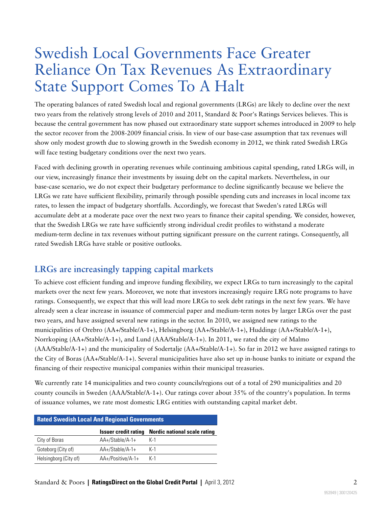# Swedish Local Governments Face Greater Reliance On Tax Revenues As Extraordinary State Support Comes To A Halt

The operating balances of rated Swedish local and regional governments (LRGs) are likely to decline over the next two years from the relatively strong levels of 2010 and 2011, Standard & Poor's Ratings Services believes. This is because the central government has now phased out extraordinary state support schemes introduced in 2009 to help the sector recover from the 2008-2009 financial crisis. In view of our base-case assumption that tax revenues will show only modest growth due to slowing growth in the Swedish economy in 2012, we think rated Swedish LRGs will face testing budgetary conditions over the next two years.

Faced with declining growth in operating revenues while continuing ambitious capital spending, rated LRGs will, in our view, increasingly finance their investments by issuing debt on the capital markets. Nevertheless, in our base-case scenario, we do not expect their budgetary performance to decline significantly because we believe the LRGs we rate have sufficient flexibility, primarily through possible spending cuts and increases in local income tax rates, to lessen the impact of budgetary shortfalls. Accordingly, we forecast that Sweden's rated LRGs will accumulate debt at a moderate pace over the next two years to finance their capital spending. We consider, however, that the Swedish LRGs we rate have sufficiently strong individual credit profiles to withstand a moderate medium-term decline in tax revenues without putting significant pressure on the current ratings. Consequently, all rated Swedish LRGs have stable or positive outlooks.

## <span id="page-1-0"></span>**LRGs are increasingly tapping capital markets**

To achieve cost efficient funding and improve funding flexibility, we expect LRGs to turn increasingly to the capital markets over the next few years. Moreover, we note that investors increasingly require LRG note programs to have ratings. Consequently, we expect that this will lead more LRGs to seek debt ratings in the next few years. We have already seen a clear increase in issuance of commercial paper and medium-term notes by larger LRGs over the past two years, and have assigned several new ratings in the sector. In 2010, we assigned new ratings to the municipalities of Orebro (AA+/Stable/A-1+), Helsingborg (AA+/Stable/A-1+), Huddinge (AA+/Stable/A-1+), Norrkoping (AA+/Stable/A-1+), and Lund (AAA/Stable/A-1+). In 2011, we rated the city of Malmo (AAA/Stable/A-1+) and the municipality of Sodertalje (AA+/Stable/A-1+). So far in 2012 we have assigned ratings to the City of Boras (AA+/Stable/A-1+). Several municipalities have also set up in-house banks to initiate or expand the financing of their respective municipal companies within their municipal treasuries.

We currently rate 14 municipalities and two county councils/regions out of a total of 290 municipalities and 20 county councils in Sweden (AAA/Stable/A-1+). Our ratings cover about 35% of the country's population. In terms of issuance volumes, we rate most domestic LRG entities with outstanding capital market debt.

| <b>Rated Swedish Local And Regional Governments</b> |                             |                                     |  |
|-----------------------------------------------------|-----------------------------|-------------------------------------|--|
|                                                     | <b>Issuer credit rating</b> | <b>Nordic national scale rating</b> |  |
| City of Boras                                       | AA+/Stable/A-1+             | $K-1$                               |  |
| Goteborg (City of)                                  | AA+/Stable/A-1+             | $K-1$                               |  |
| Helsingborg (City of)                               | AA+/Positive/A-1+           | $K-1$                               |  |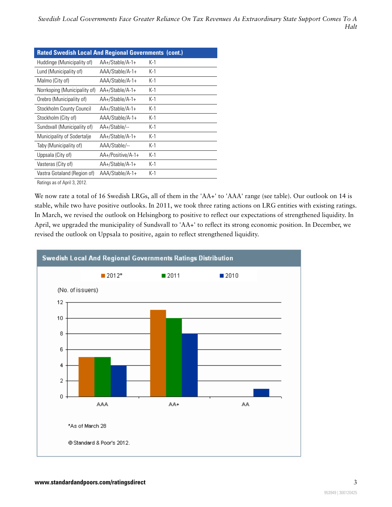| <b>Rated Swedish Local And Regional Governments (cont.)</b> |                   |       |  |
|-------------------------------------------------------------|-------------------|-------|--|
| Huddinge (Municipality of)                                  | AA+/Stable/A-1+   | $K-1$ |  |
| Lund (Municipality of)                                      | AAA/Stable/A-1+   | $K-1$ |  |
| Malmo (City of)                                             | AAA/Stable/A-1+   | $K-1$ |  |
| Norrkoping (Municipality of)                                | AA+/Stable/A-1+   | $K-1$ |  |
| Orebro (Municipality of)                                    | AA+/Stable/A-1+   | $K-1$ |  |
| Stockholm County Council                                    | AA+/Stable/A-1+   | $K-1$ |  |
| Stockholm (City of)                                         | AAA/Stable/A-1+   | $K-1$ |  |
| Sundsvall (Municipality of)                                 | AA+/Stable/--     | $K-1$ |  |
| Municipality of Sodertalje                                  | AA+/Stable/A-1+   | $K-1$ |  |
| Taby (Municipality of)                                      | AAA/Stable/--     | $K-1$ |  |
| Uppsala (City of)                                           | AA+/Positive/A-1+ | $K-1$ |  |
| Vasteras (City of)                                          | AA+/Stable/A-1+   | $K-1$ |  |
| Vastra Gotaland (Region of)                                 | AAA/Stable/A-1+   | $K-1$ |  |

Ratings as of April 3, 2012.

We now rate a total of 16 Swedish LRGs, all of them in the 'AA+' to 'AAA' range (see table). Our outlook on 14 is stable, while two have positive outlooks. In 2011, we took three rating actions on LRG entities with existing ratings. In March, we revised the outlook on Helsingborg to positive to reflect our expectations of strengthened liquidity. In April, we upgraded the municipality of Sundsvall to 'AA+' to reflect its strong economic position. In December, we revised the outlook on Uppsala to positive, again to reflect strengthened liquidity.

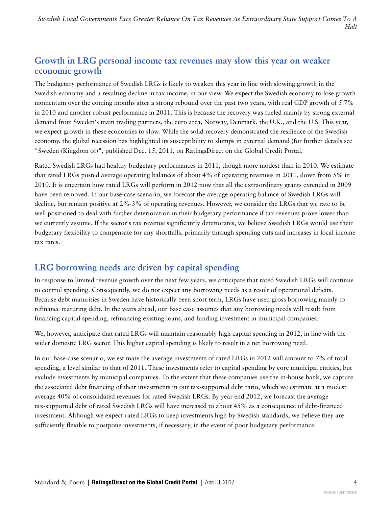*Swedish Local Governments Face Greater Reliance On Tax Revenues As Extraordinary State Support Comes To A Halt*

#### <span id="page-3-0"></span>**Growth in LRG personal income tax revenues may slow this year on weaker economic growth**

The budgetary performance of Swedish LRGs is likely to weaken this year in line with slowing growth in the Swedish economy and a resulting decline in tax income, in our view. We expect the Swedish economy to lose growth momentum over the coming months after a strong rebound over the past two years, with real GDP growth of 5.7% in 2010 and another robust performance in 2011. This is because the recovery was fueled mainly by strong external demand from Sweden's main trading partners, the euro area, Norway, Denmark, the U.K., and the U.S. This year, we expect growth in these economies to slow. While the solid recovery demonstrated the resilience of the Swedish economy, the global recession has highlighted its susceptibility to slumps in external demand (for further details see "Sweden (Kingdom of)", published Dec. 15, 2011, on RatingsDirect on the Global Credit Portal.

Rated Swedish LRGs had healthy budgetary performances in 2011, though more modest than in 2010. We estimate that rated LRGs posted average operating balances of about 4% of operating revenues in 2011, down from 5% in 2010. It is uncertain how rated LRGs will perform in 2012 now that all the extraordinary grants extended in 2009 have been removed. In our base-case scenario, we forecast the average operating balance of Swedish LRGs will decline, but remain positive at 2%-3% of operating revenues. However, we consider the LRGs that we rate to be well positioned to deal with further deterioration in their budgetary performance if tax revenues prove lower than we currently assume. If the sector's tax revenue significantly deteriorates, we believe Swedish LRGs would use their budgetary flexibility to compensate for any shortfalls, primarily through spending cuts and increases in local income tax rates.

#### <span id="page-3-1"></span>**LRG borrowing needs are driven by capital spending**

In response to limited revenue growth over the next few years, we anticipate that rated Swedish LRGs will continue to control spending. Consequently, we do not expect any borrowing needs as a result of operational deficits. Because debt maturities in Sweden have historically been short term, LRGs have used gross borrowing mainly to refinance maturing debt. In the years ahead, our base case assumes that any borrowing needs will result from financing capital spending, refinancing existing loans, and funding investment in municipal companies.

We, however, anticipate that rated LRGs will maintain reasonably high capital spending in 2012, in line with the wider domestic LRG sector. This higher capital spending is likely to result in a net borrowing need.

In our base-case scenario, we estimate the average investments of rated LRGs in 2012 will amount to 7% of total spending, a level similar to that of 2011. These investments refer to capital spending by core municipal entities, but exclude investments by municipal companies. To the extent that these companies use the in-house bank, we capture the associated debt financing of their investments in our tax-supported debt ratio, which we estimate at a modest average 40% of consolidated revenues for rated Swedish LRGs. By year-end 2012, we forecast the average tax-supported debt of rated Swedish LRGs will have increased to about 45% as a consequence of debt-financed investment. Although we expect rated LRGs to keep investments high by Swedish standards, we believe they are sufficiently flexible to postpone investments, if necessary, in the event of poor budgetary performance.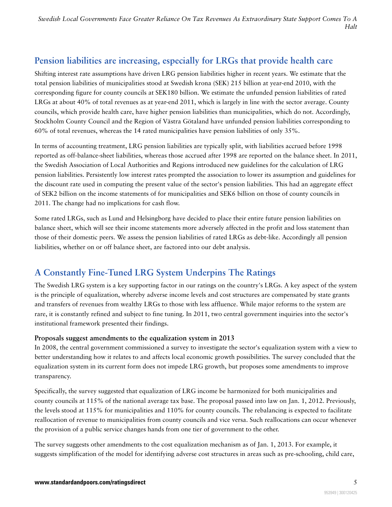*Swedish Local Governments Face Greater Reliance On Tax Revenues As Extraordinary State Support Comes To A Halt*

## <span id="page-4-0"></span>**Pension liabilities are increasing, especially for LRGs that provide health care**

Shifting interest rate assumptions have driven LRG pension liabilities higher in recent years. We estimate that the total pension liabilities of municipalities stood at Swedish krona (SEK) 215 billion at year-end 2010, with the corresponding figure for county councils at SEK180 billion. We estimate the unfunded pension liabilities of rated LRGs at about 40% of total revenues as at year-end 2011, which is largely in line with the sector average. County councils, which provide health care, have higher pension liabilities than municipalities, which do not. Accordingly, Stockholm County Council and the Region of Västra Götaland have unfunded pension liabilities corresponding to 60% of total revenues, whereas the 14 rated municipalities have pension liabilities of only 35%.

In terms of accounting treatment, LRG pension liabilities are typically split, with liabilities accrued before 1998 reported as off-balance-sheet liabilities, whereas those accrued after 1998 are reported on the balance sheet. In 2011, the Swedish Association of Local Authorities and Regions introduced new guidelines for the calculation of LRG pension liabilities. Persistently low interest rates prompted the association to lower its assumption and guidelines for the discount rate used in computing the present value of the sector's pension liabilities. This had an aggregate effect of SEK2 billion on the income statements of for municipalities and SEK6 billion on those of county councils in 2011. The change had no implications for cash flow.

Some rated LRGs, such as Lund and Helsingborg have decided to place their entire future pension liabilities on balance sheet, which will see their income statements more adversely affected in the profit and loss statement than those of their domestic peers. We assess the pension liabilities of rated LRGs as debt-like. Accordingly all pension liabilities, whether on or off balance sheet, are factored into our debt analysis.

## <span id="page-4-1"></span>**A Constantly Fine-Tuned LRG System Underpins The Ratings**

The Swedish LRG system is a key supporting factor in our ratings on the country's LRGs. A key aspect of the system is the principle of equalization, whereby adverse income levels and cost structures are compensated by state grants and transfers of revenues from wealthy LRGs to those with less affluence. While major reforms to the system are rare, it is constantly refined and subject to fine tuning. In 2011, two central government inquiries into the sector's institutional framework presented their findings.

#### **Proposals suggest amendments to the equalization system in 2013**

In 2008, the central government commissioned a survey to investigate the sector's equalization system with a view to better understanding how it relates to and affects local economic growth possibilities. The survey concluded that the equalization system in its current form does not impede LRG growth, but proposes some amendments to improve transparency.

Specifically, the survey suggested that equalization of LRG income be harmonized for both municipalities and county councils at 115% of the national average tax base. The proposal passed into law on Jan. 1, 2012. Previously, the levels stood at 115% for municipalities and 110% for county councils. The rebalancing is expected to facilitate reallocation of revenue to municipalities from county councils and vice versa. Such reallocations can occur whenever the provision of a public service changes hands from one tier of government to the other.

The survey suggests other amendments to the cost equalization mechanism as of Jan. 1, 2013. For example, it suggests simplification of the model for identifying adverse cost structures in areas such as pre-schooling, child care,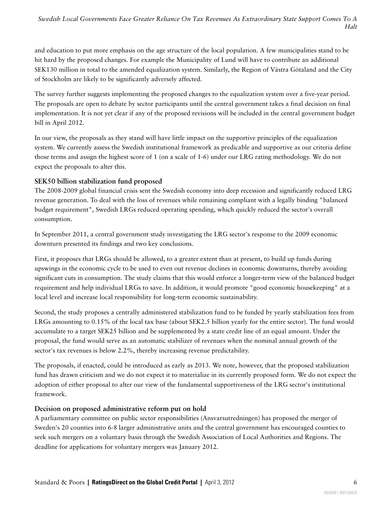and education to put more emphasis on the age structure of the local population. A few municipalities stand to be hit hard by the proposed changes. For example the Municipality of Lund will have to contribute an additional SEK130 million in total to the amended equalization system. Similarly, the Region of Västra Götaland and the City of Stockholm are likely to be significantly adversely affected.

The survey further suggests implementing the proposed changes to the equalization system over a five-year period. The proposals are open to debate by sector participants until the central government takes a final decision on final implementation. It is not yet clear if any of the proposed revisions will be included in the central government budget bill in April 2012.

In our view, the proposals as they stand will have little impact on the supportive principles of the equalization system. We currently assess the Swedish institutional framework as predicable and supportive as our criteria define those terms and assign the highest score of 1 (on a scale of 1-6) under our LRG rating methodology. We do not expect the proposals to alter this.

#### **SEK50 billion stabilization fund proposed**

The 2008-2009 global financial crisis sent the Swedish economy into deep recession and significantly reduced LRG revenue generation. To deal with the loss of revenues while remaining compliant with a legally binding "balanced budget requirement", Swedish LRGs reduced operating spending, which quickly reduced the sector's overall consumption.

In September 2011, a central government study investigating the LRG sector's response to the 2009 economic downturn presented its findings and two key conclusions.

First, it proposes that LRGs should be allowed, to a greater extent than at present, to build up funds during upswings in the economic cycle to be used to even out revenue declines in economic downturns, thereby avoiding significant cuts in consumption. The study claims that this would enforce a longer-term view of the balanced budget requirement and help individual LRGs to save. In addition, it would promote "good economic housekeeping" at a local level and increase local responsibility for long-term economic sustainability.

Second, the study proposes a centrally administered stabilization fund to be funded by yearly stabilization fees from LRGs amounting to 0.15% of the local tax base (about SEK2.5 billion yearly for the entire sector). The fund would accumulate to a target SEK25 billion and be supplemented by a state credit line of an equal amount. Under the proposal, the fund would serve as an automatic stabilizer of revenues when the nominal annual growth of the sector's tax revenues is below 2.2%, thereby increasing revenue predictability.

The proposals, if enacted, could be introduced as early as 2013. We note, however, that the proposed stabilization fund has drawn criticism and we do not expect it to materialize in its currently proposed form. We do not expect the adoption of either proposal to alter our view of the fundamental supportiveness of the LRG sector's institutional framework.

#### **Decision on proposed administrative reform put on hold**

A parliamentary committee on public sector responsibilities (Ansvarsutredningen) has proposed the merger of Sweden's 20 counties into 6-8 larger administrative units and the central government has encouraged counties to seek such mergers on a voluntary basis through the Swedish Association of Local Authorities and Regions. The deadline for applications for voluntary mergers was January 2012.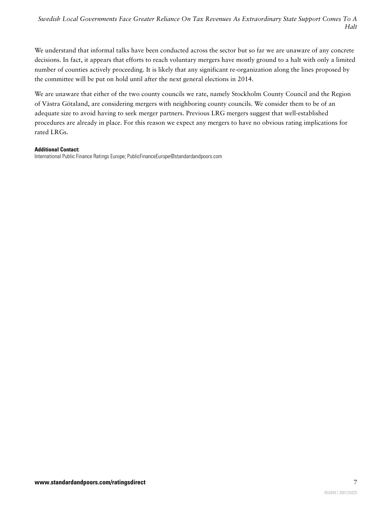We understand that informal talks have been conducted across the sector but so far we are unaware of any concrete decisions. In fact, it appears that efforts to reach voluntary mergers have mostly ground to a halt with only a limited number of counties actively proceeding. It is likely that any significant re-organization along the lines proposed by the committee will be put on hold until after the next general elections in 2014.

We are unaware that either of the two county councils we rate, namely Stockholm County Council and the Region of Västra Götaland, are considering mergers with neighboring county councils. We consider them to be of an adequate size to avoid having to seek merger partners. Previous LRG mergers suggest that well-established procedures are already in place. For this reason we expect any mergers to have no obvious rating implications for rated LRGs.

#### **Additional Contact:**

International Public Finance Ratings Europe; PublicFinanceEurope@standardandpoors.com